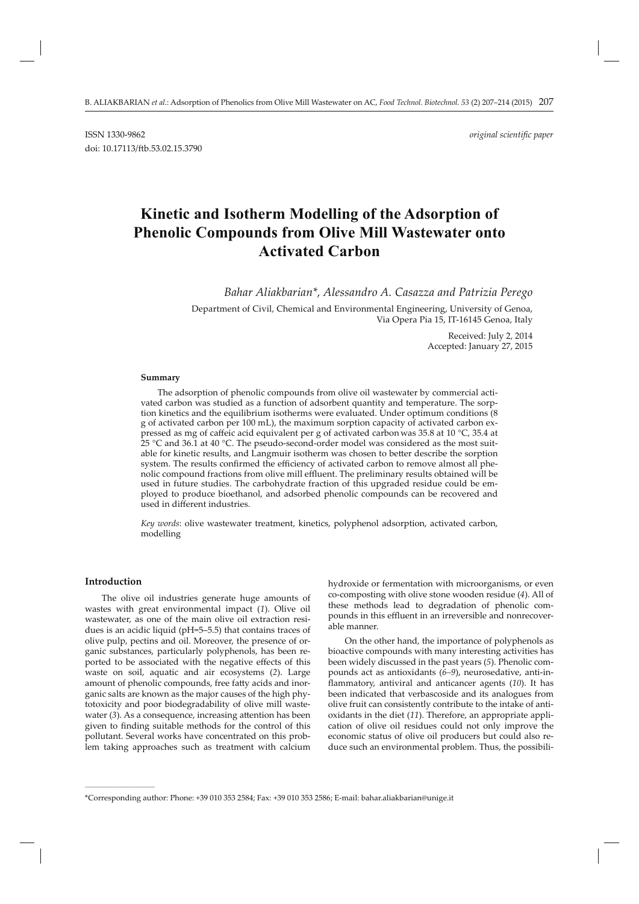# **Kinetic and Isotherm Modelling of the Adsorption of Phenolic Compounds from Olive Mill Wastewater onto Activated Carbon**

*Bahar Aliakbarian\*, Alessandro A. Casazza and Patrizia Perego*

Department of Civil, Chemical and Environmental Engineering, University of Genoa, Via Opera Pia 15, IT-16145 Genoa, Italy

> Received: July 2, 2014 Accepted: January 27, 2015

#### **Summary**

The adsorption of phenolic compounds from olive oil wastewater by commercial activated carbon was studied as a function of adsorbent quantity and temperature. The sorption kinetics and the equilibrium isotherms were evaluated. Under optimum conditions (8 g of activated carbon per 100 mL), the maximum sorption capacity of activated carbon expressed as mg of caffeic acid equivalent per g of activated carbon was 35.8 at 10 °C, 35.4 at 25 °C and 36.1 at 40 °C. The pseudo-second-order model was considered as the most suitable for kinetic results, and Langmuir isotherm was chosen to better describe the sorption system. The results confirmed the efficiency of activated carbon to remove almost all phenolic compound fractions from olive mill effluent. The preliminary results obtained will be used in future studies. The carbohydrate fraction of this upgraded residue could be employed to produce bioethanol, and adsorbed phenolic compounds can be recovered and used in different industries.

*Key words*: olive wastewater treatment, kinetics, polyphenol adsorption, activated carbon, modelling

## **Introduction**

**\_\_\_\_\_\_\_\_\_\_\_\_\_\_\_\_\_\_\_\_\_\_\_\_\_\_\_\_\_\_**

The olive oil industries generate huge amounts of wastes with great environmental impact (*1*). Olive oil wastewater, as one of the main olive oil extraction residues is an acidic liquid (pH=5–5.5) that contains traces of olive pulp, pectins and oil. Moreover, the presence of organic substances, particularly polyphenols, has been reported to be associated with the negative effects of this waste on soil, aquatic and air ecosystems (*2*). Large amount of phenolic compounds, free fatty acids and inorganic salts are known as the major causes of the high phytotoxicity and poor biodegradability of olive mill wastewater (3). As a consequence, increasing attention has been given to finding suitable methods for the control of this pollutant. Several works have concentrated on this problem taking approaches such as treatment with calcium hydroxide or fermentation with microorganisms, or even co-composting with olive stone wooden residue (*4*). All of these methods lead to degradation of phenolic compounds in this effluent in an irreversible and nonrecoverable manner.

On the other hand, the importance of polyphenols as bioactive compounds with many interesting activities has been widely discussed in the past years (*5*). Phenolic compounds act as antioxidants (*6–9*), neurosedative, anti-inflammatory, antiviral and anticancer agents (10). It has been indicated that verbascoside and its analogues from olive fruit can consistently contribute to the intake of antioxidants in the diet (*11*). Therefore, an appropriate application of olive oil residues could not only improve the economic status of olive oil producers but could also reduce such an environmental problem. Thus, the possibili-

<sup>\*</sup>Corresponding author: Phone: +39 010 353 2584; Fax: +39 010 353 2586; E-mail: bahar.aliakbarian@unige.it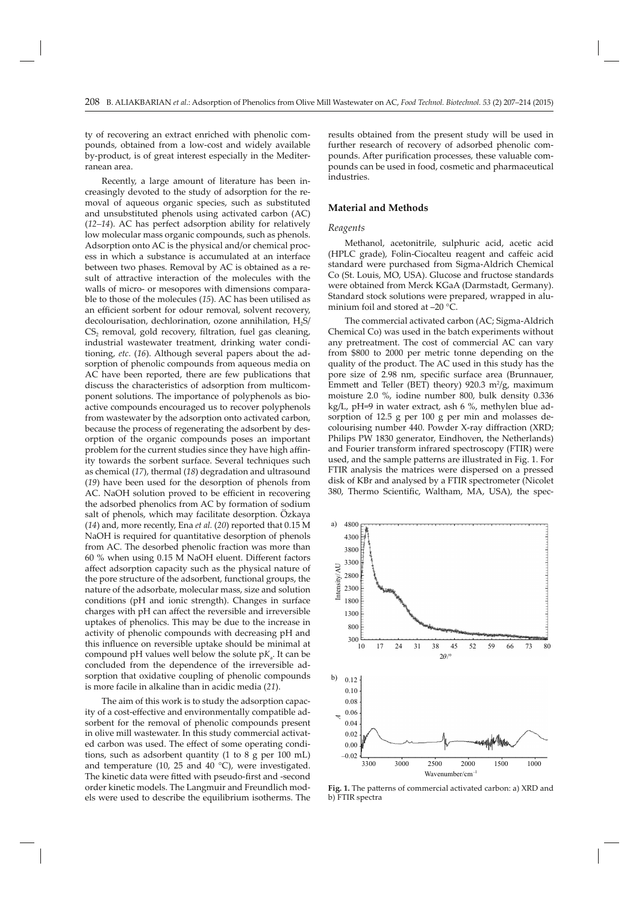ty of recovering an extract enriched with phenolic compounds, obtained from a low-cost and widely available by-product, is of great interest especially in the Mediterranean area.

Recently, a large amount of literature has been increasingly devoted to the study of adsorption for the removal of aqueous organic species, such as substituted and unsubstituted phenols using activated carbon (AC) (*12–14*). AC has perfect adsorption ability for relatively low molecular mass organic compounds, such as phenols. Adsorption onto AC is the physical and/or chemical process in which a substance is accumulated at an interface between two phases. Removal by AC is obtained as a result of attractive interaction of the molecules with the walls of micro- or mesopores with dimensions comparable to those of the molecules (*15*). AC has been utilised as an efficient sorbent for odour removal, solvent recovery, decolourisation, dechlorination, ozone annihilation,  $H_2S$ /  $CS<sub>2</sub>$  removal, gold recovery, filtration, fuel gas cleaning, industrial wastewater treatment, drinking water conditioning, *etc*. (*16*). Although several papers about the adsorption of phenolic compounds from aqueous media on AC have been reported, there are few publications that discuss the characteristics of adsorption from multicomponent solutions. The importance of polyphenols as bioactive compounds encouraged us to recover polyphenols from wastewater by the adsorption onto activated carbon, because the process of regenerating the adsorbent by desorption of the organic compounds poses an important problem for the current studies since they have high affinity towards the sorbent surface. Several techniques such as chemical (*17*), thermal (*18*) degradation and ultrasound (*19*) have been used for the desorption of phenols from AC. NaOH solution proved to be efficient in recovering the adsorbed phenolics from AC by formation of sodium salt of phenols, which may facilitate desorption. Özkaya (*14*) and, more recently, Ena *et al.* (*20*) reported that 0.15 M NaOH is required for quantitative desorption of phenols from AC. The desorbed phenolic fraction was more than  $60\%$  when using  $0.15$  M NaOH eluent. Different factors affect adsorption capacity such as the physical nature of the pore structure of the adsorbent, functional groups, the nature of the adsorbate, molecular mass, size and solution conditions (pH and ionic strength). Changes in surface charges with pH can affect the reversible and irreversible uptakes of phenolics. This may be due to the increase in activity of phenolic compounds with decreasing pH and this influence on reversible uptake should be minimal at compound pH values well below the solute  $pK_a$ . It can be concluded from the dependence of the irreversible adsorption that oxidative coupling of phenolic compounds is more facile in alkaline than in acidic media (*21*).

The aim of this work is to study the adsorption capacity of a cost-effective and environmentally compatible adsorbent for the removal of phenolic compounds present in olive mill wastewater. In this study commercial activated carbon was used. The effect of some operating conditions, such as adsorbent quantity (1 to 8 g per 100 mL) and temperature (10, 25 and 40 °C), were investigated. The kinetic data were fitted with pseudo-first and -second order kinetic models. The Langmuir and Freundlich models were used to describe the equilibrium isotherms. The

results obtained from the present study will be used in further research of recovery of adsorbed phenolic compounds. After purification processes, these valuable compounds can be used in food, cosmetic and pharmaceutical industries.

# **Material and Methods**

## *Reagents*

Methanol, acetonitrile, sulphuric acid, acetic acid (HPLC grade), Folin-Ciocalteu reagent and caffeic acid standard were purchased from Sigma-Aldrich Chemical Co (St. Louis, MO, USA). Glucose and fructose standards were obtained from Merck KGaA (Darmstadt, Germany). Standard stock solutions were prepared, wrapped in aluminium foil and stored at –20 °C.

The commercial activated carbon (AC; Sigma-Aldrich Chemical Co) was used in the batch experiments without any pretreatment. The cost of commercial AC can vary from \$800 to 2000 per metric tonne depending on the quality of the product. The AC used in this study has the pore size of 2.98 nm, specific surface area (Brunnauer, Emmett and Teller (BET) theory)  $920.3 \, \text{m}^2/\text{g}$ , maximum moisture 2.0 %, iodine number 800, bulk density 0.336 kg/L, pH=9 in water extract, ash 6 %, methylen blue adsorption of 12.5 g per 100 g per min and molasses decolourising number 440. Powder X-ray diffraction (XRD; Philips PW 1830 generator, Eindhoven, the Netherlands) and Fourier transform infrared spectroscopy (FTIR) were used, and the sample patterns are illustrated in Fig. 1. For FTIR analysis the matrices were dispersed on a pressed disk of KBr and analysed by a FTIR spectrometer (Nicolet 380, Thermo Scientific, Waltham, MA, USA), the spec-



Fig. 1. The patterns of commercial activated carbon: a) XRD and b) FTIR spectra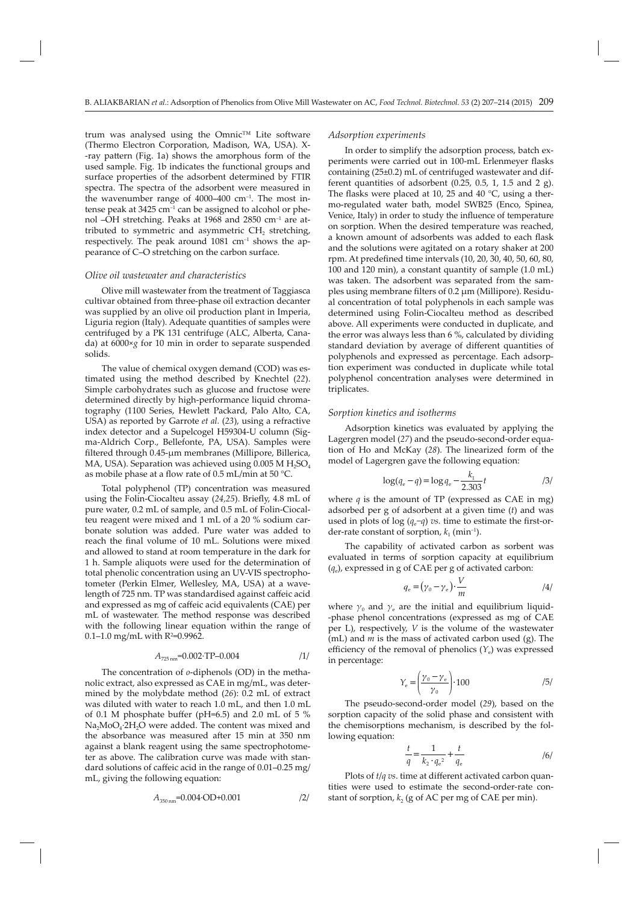trum was analysed using the Omnic™ Lite software (Thermo Electron Corporation, Madison, WA, USA). X- -ray pattern (Fig. 1a) shows the amorphous form of the used sample. Fig. 1b indicates the functional groups and surface properties of the adsorbent determined by FTIR spectra. The spectra of the adsorbent were measured in the wavenumber range of  $4000-400$  cm<sup>-1</sup>. The most intense peak at  $3425 \text{ cm}^{-1}$  can be assigned to alcohol or phenol ‒OH stretching. Peaks at 1968 and 2850 cm–1 are attributed to symmetric and asymmetric CH<sub>2</sub> stretching, respectively. The peak around  $1081 \text{ cm}^{-1}$  shows the appearance of C-O stretching on the carbon surface.

# *Olive oil wastewater and characteristics*

Olive mill wastewater from the treatment of Taggiasca cultivar obtained from three-phase oil extraction decanter was supplied by an olive oil production plant in Imperia, Liguria region (Italy). Adequate quantities of samples were centrifuged by a PK 131 centrifuge (ALC, Alberta, Canada) at 6000×*g* for 10 min in order to separate suspended solids.

The value of chemical oxygen demand (COD) was estimated using the method described by Knechtel (*22*). Simple carbohydrates such as glucose and fructose were determined directly by high-performance liquid chromatography (1100 Series, Hewlett Packard, Palo Alto, CA, USA) as reported by Garrote *et al.* (*23*), using a refractive index detector and a Supelcogel H59304-U column (Sigma-Aldrich Corp., Bellefonte, PA, USA). Samples were filtered through 0.45-μm membranes (Millipore, Billerica, MA, USA). Separation was achieved using  $0.005$  M H<sub>2</sub>SO<sub>4</sub> as mobile phase at a flow rate of 0.5 mL/min at 50 °C.

Total polyphenol (TP) concentration was measured using the Folin-Ciocalteu assay (24,25). Briefly, 4.8 mL of pure water, 0.2 mL of sample, and 0.5 mL of Folin-Ciocalteu reagent were mixed and 1 mL of a 20 % sodium carbonate solution was added. Pure water was added to reach the final volume of 10 mL. Solutions were mixed and allowed to stand at room temperature in the dark for 1 h. Sample aliquots were used for the determination of total phenolic concentration using an UV-VIS spectrophotometer (Perkin Elmer, Wellesley, MA, USA) at a wavelength of 725 nm. TP was standardised against caffeic acid and expressed as mg of caffeic acid equivalents (CAE) per mL of wastewater. The method response was described with the following linear equation within the range of 0.1–1.0 mg/mL with R2 =0.9962.

$$
A_{725\,\text{nm}} = 0.002 \cdot \text{TP} - 0.004 \tag{1}
$$

The concentration of *o*-diphenols (OD) in the methanolic extract, also expressed as CAE in mg/mL, was determined by the molybdate method (*26*): 0.2 mL of extract was diluted with water to reach 1.0 mL, and then 1.0 mL of 0.1 M phosphate buffer (pH=6.5) and 2.0 mL of 5  $%$  $Na<sub>2</sub>MoO<sub>4</sub>·2H<sub>2</sub>O$  were added. The content was mixed and the absorbance was measured after 15 min at 350 nm against a blank reagent using the same spectrophotometer as above. The calibration curve was made with standard solutions of caffeic acid in the range of  $0.01-0.25$  mg/ mL, giving the following equation:

$$
A_{350\,\text{nm}} = 0.004 \cdot \text{OD} + 0.001 \tag{2}
$$

#### *Adsorption experiments*

In order to simplify the adsorption process, batch experiments were carried out in 100-mL Erlenmeyer flasks containing (25±0.2) mL of centrifuged wastewater and different quantities of adsorbent  $(0.25, 0.5, 1, 1.5, \text{and } 2 \text{ g})$ . The flasks were placed at 10, 25 and 40  $^{\circ}$ C, using a thermo-regulated water bath, model SWB25 (Enco, Spinea, Venice, Italy) in order to study the influence of temperature on sorption. When the desired temperature was reached, a known amount of adsorbents was added to each flask and the solutions were agitated on a rotary shaker at 200 rpm. At predefined time intervals (10, 20, 30, 40, 50, 60, 80, 100 and 120 min), a constant quantity of sample (1.0 mL) was taken. The adsorbent was separated from the samples using membrane filters of 0.2 μm (Millipore). Residual concentration of total polyphenols in each sample was determined using Folin-Ciocalteu method as described above. All experiments were conducted in duplicate, and the error was always less than 6 %, calculated by dividing standard deviation by average of different quantities of polyphenols and expressed as percentage. Each adsorption experiment was conducted in duplicate while total polyphenol concentration analyses were determined in triplicates.

#### *Sorption kinetics and isotherms*

Adsorption kinetics was evaluated by applying the Lagergren model (*27*) and the pseudo-second-order equation of Ho and McKay (*28*). The linearized form of the model of Lagergren gave the following equation:

$$
\log(q_{\rm e} - q) = \log q_{\rm e} - \frac{k_1}{2.303}t \tag{3}
$$

where  $q$  is the amount of TP (expressed as CAE in mg) adsorbed per g of adsorbent at a given time (*t*) and was used in plots of log (*q*<sub>e</sub>−*q*) *vs*. time to estimate the first-order-rate constant of sorption,  $k_1$  (min<sup>-1</sup>).

The capability of activated carbon as sorbent was evaluated in terms of sorption capacity at equilibrium (*q*e), expressed in g of CAE per g of activated carbon:

$$
q_e = (\gamma_0 - \gamma_e) \cdot \frac{V}{m}
$$

where  $\gamma_0$  and  $\gamma_e$  are the initial and equilibrium liquid--phase phenol concentrations (expressed as mg of CAE per L), respectively, *V* is the volume of the wastewater (mL) and *m* is the mass of activated carbon used (g). The efficiency of the removal of phenolics  $(Y_e)$  was expressed in percentage:

$$
Y_{\rm e} = \left(\frac{\gamma_{\rm 0} - \gamma_{\rm e}}{\gamma_{\rm 0}}\right) \cdot 100 \tag{5}
$$

The pseudo-second-order model (*29*), based on the sorption capacity of the solid phase and consistent with the chemisorptions mechanism, is described by the following equation:

$$
\frac{t}{q} = \frac{1}{k_2 \cdot q_e^2} + \frac{t}{q_e}
$$

Plots of *t*/*q vs*. time at different activated carbon quantities were used to estimate the second-order-rate constant of sorption,  $k_2$  (g of AC per mg of CAE per min).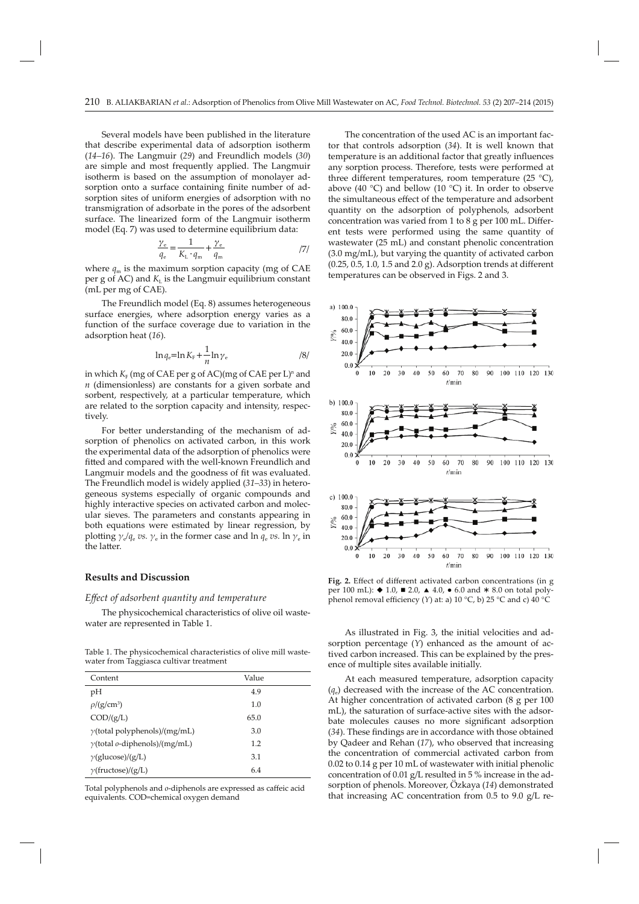Several models have been published in the literature that describe experimental data of adsorption isotherm (*14–16*). The Langmuir (*29*) and Freundlich models (*30*) are simple and most frequently applied. The Langmuir isotherm is based on the assumption of monolayer adsorption onto a surface containing finite number of adsorption sites of uniform energies of adsorption with no transmigration of adsorbate in the pores of the adsorbent surface. The linearized form of the Langmuir isotherm model (Eq. 7) was used to determine equilibrium data:

$$
\frac{\gamma_e}{q_e} = \frac{1}{K_L \cdot q_m} + \frac{\gamma_e}{q_m} \tag{7}
$$

where  $q_m$  is the maximum sorption capacity (mg of CAE per g of AC) and  $K<sub>L</sub>$  is the Langmuir equilibrium constant (mL per mg of CAE).

The Freundlich model (Eq. 8) assumes heterogeneous surface energies, where adsorption energy varies as a function of the surface coverage due to variation in the adsorption heat (*16*).

$$
\ln q_e = \ln K_{\rm F} + \frac{1}{n} \ln \gamma_e \tag{8}
$$

in which  $K_F$  (mg of CAE per g of AC)(mg of CAE per L)<sup>n</sup> and *n* (dimensionless) are constants for a given sorbate and sorbent, respectively, at a particular temperature, which are related to the sorption capacity and intensity, respectively.

For better understanding of the mechanism of adsorption of phenolics on activated carbon, in this work the experimental data of the adsorption of phenolics were fitted and compared with the well-known Freundlich and Langmuir models and the goodness of fit was evaluated. The Freundlich model is widely applied (*31–33*) in heterogeneous systems especially of organic compounds and highly interactive species on activated carbon and molecular sieves. The parameters and constants appearing in both equations were estimated by linear regression, by plotting  $\gamma_e/q_e$  *vs.*  $\gamma_e$  in the former case and ln  $q_e$  *vs.* ln  $\gamma_e$  in the latter.

# **Results and Discussion**

## *Eff ect of adsorbent quantity and temperature*

The physicochemical characteristics of olive oil wastewater are represented in Table 1.

Table 1. The physicochemical characteristics of olive mill wastewater from Taggiasca cultivar treatment

| Content                                      | Value |
|----------------------------------------------|-------|
| рH                                           | 4.9   |
| $\rho$ /(g/cm <sup>3</sup> )                 | 1.0   |
| $\text{COD}/(\text{g/L})$                    | 65.0  |
| $\gamma$ (total polyphenols)/(mg/mL)         | 3.0   |
| $\gamma$ (total <i>o</i> -diphenols)/(mg/mL) | 1.2   |
| $\nu$ (glucose)/(g/L)                        | 3.1   |
| $\gamma$ (fructose)/(g/L)                    | 6.4   |

Total polyphenols and  $o$ -diphenols are expressed as caffeic acid equivalents. COD=chemical oxygen demand

The concentration of the used AC is an important factor that controls adsorption (*34*). It is well known that temperature is an additional factor that greatly influences any sorption process. Therefore, tests were performed at three different temperatures, room temperature (25  $^{\circ}$ C), above (40 °C) and bellow (10 °C) it. In order to observe the simultaneous effect of the temperature and adsorbent quantity on the adsorption of polyphenols, adsorbent concentration was varied from  $1$  to  $8$  g per  $100$  mL. Different tests were performed using the same quantity of wastewater (25 mL) and constant phenolic concentration (3.0 mg/mL), but varying the quantity of activated carbon  $(0.25, 0.5, 1.0, 1.5, and 2.0, g)$ . Adsorption trends at different temperatures can be observed in Figs. 2 and 3.



Fig. 2. Effect of different activated carbon concentrations (in g per 100 mL):  $\blacklozenge$  1.0,  $\blacksquare$  2.0,  $\blacktriangle$  4.0,  $\blacklozenge$  6.0 and  $*$  8.0 on total polyphenol removal efficiency (*Y*) at: a) 10 °C, b) 25 °C and c) 40 °C

As illustrated in Fig. 3, the initial velocities and adsorption percentage (*Y*) enhanced as the amount of actived carbon increased. This can be explained by the presence of multiple sites available initially.

At each measured temperature, adsorption capacity  $(q_{\alpha})$  decreased with the increase of the AC concentration. At higher concentration of activated carbon (8 g per 100 mL), the saturation of surface-active sites with the adsorbate molecules causes no more significant adsorption (34). These findings are in accordance with those obtained by Qadeer and Rehan (*17*), who observed that increasing the concentration of commercial activated carbon from 0.02 to 0.14 g per 10 mL of wastewater with initial phenolic concentration of 0.01 g/L resulted in 5 % increase in the adsorption of phenols. Moreover, Özkaya (*14*) demonstrated that increasing AC concentration from 0.5 to 9.0 g/L re-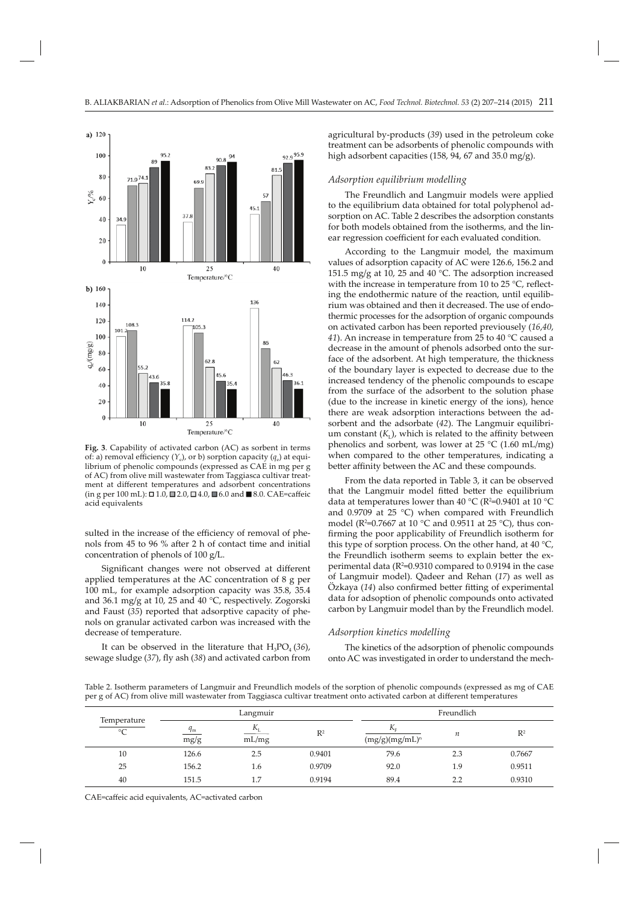

**Fig. 3**. Capability of activated carbon (AC) as sorbent in terms of: a) removal efficiency  $(Y_e)$ , or b) sorption capacity  $(q_e)$  at equilibrium of phenolic compounds (expressed as CAE in mg per g of AC) from olive mill wastewater from Taggiasca cultivar treatment at different temperatures and adsorbent concentrations (in g per 100 mL): □1.0, □2.0, □4.0, ■6.0 and ■8.0. CAE=caffeic acid equivalents

sulted in the increase of the efficiency of removal of phenols from 45 to 96 % after 2 h of contact time and initial concentration of phenols of 100 g/L.

Significant changes were not observed at different applied temperatures at the AC concentration of 8 g per 100 mL, for example adsorption capacity was 35.8, 35.4 and 36.1 mg/g at 10, 25 and 40 °C, respectively. Zogorski and Faust (*35*) reported that adsorptive capacity of phenols on granular activated carbon was increased with the decrease of temperature.

It can be observed in the literature that  $H_3PO_4(36)$ , sewage sludge (37), fly ash (38) and activated carbon from agricultural by-products (*39*) used in the petroleum coke treatment can be adsorbents of phenolic compounds with high adsorbent capacities (158, 94, 67 and 35.0 mg/g).

# *Adsorption equilibrium modelling*

The Freundlich and Langmuir models were applied to the equilibrium data obtained for total polyphenol adsorption on AC. Table 2 describes the adsorption constants for both models obtained from the isotherms, and the linear regression coefficient for each evaluated condition.

According to the Langmuir model, the maximum values of adsorption capacity of AC were 126.6, 156.2 and 151.5 mg/g at 10, 25 and 40 °C. The adsorption increased with the increase in temperature from 10 to 25  $^{\circ}$ C, reflecting the endothermic nature of the reaction, until equilibrium was obtained and then it decreased. The use of endothermic processes for the adsorption of organic compounds on activated carbon has been reported previousely (*16*,*40*, *41*). An increase in temperature from 25 to 40 °C caused a decrease in the amount of phenols adsorbed onto the surface of the adsorbent. At high temperature, the thickness of the boundary layer is expected to decrease due to the increased tendency of the phenolic compounds to escape from the surface of the adsorbent to the solution phase (due to the increase in kinetic energy of the ions), hence there are weak adsorption interactions between the adsorbent and the adsorbate (*42*). The Langmuir equilibrium constant  $(K_L)$ , which is related to the affinity between phenolics and sorbent, was lower at  $25 \text{ °C}$  (1.60 mL/mg) when compared to the other temperatures, indicating a better affinity between the AC and these compounds.

From the data reported in Table 3, it can be observed that the Langmuir model fitted better the equilibrium data at temperatures lower than 40 °C (R²=0.9401 at 10 °C and 0.9709 at 25 °C) when compared with Freundlich model (R2 =0.7667 at 10 °C and 0.9511 at 25 °C), thus confirming the poor applicability of Freundlich isotherm for this type of sorption process. On the other hand, at 40  $^{\circ}$ C, the Freundlich isotherm seems to explain better the experimental data ( $R^2$ =0.9310 compared to 0.9194 in the case of Langmuir model). Qadeer and Rehan (*17*) as well as Özkaya (14) also confirmed better fitting of experimental data for adsoption of phenolic compounds onto activated carbon by Langmuir model than by the Freundlich model.

# *Adsorption kinetics modelling*

The kinetics of the adsorption of phenolic compounds onto AC was investigated in order to understand the mech-

Table 2. Isotherm parameters of Langmuir and Freundlich models of the sorption of phenolic compounds (expressed as mg of CAE per g of AC) from olive mill wastewater from Taggiasca cultivar treatment onto activated carbon at different temperatures

|                            | Langmuir            |                      |                | Freundlich                       |     |                |  |
|----------------------------|---------------------|----------------------|----------------|----------------------------------|-----|----------------|--|
| Temperature<br>$^{\circ}C$ | $q_{\rm m}$<br>mg/g | $K_{\rm L}$<br>mL/mg | $\mathbb{R}^2$ | $K_{\rm E}$<br>$(mg/g)(mg/mL)^n$ | n   | $\mathbb{R}^2$ |  |
| 10                         | 126.6               | 2.5                  | 0.9401         | 79.6                             | 2.3 | 0.7667         |  |
| 25                         | 156.2               | 1.6                  | 0.9709         | 92.0                             | 1.9 | 0.9511         |  |
| 40                         | 151.5               | 1.7                  | 0.9194         | 89.4                             | 2.2 | 0.9310         |  |

CAE=caffeic acid equivalents, AC=activated carbon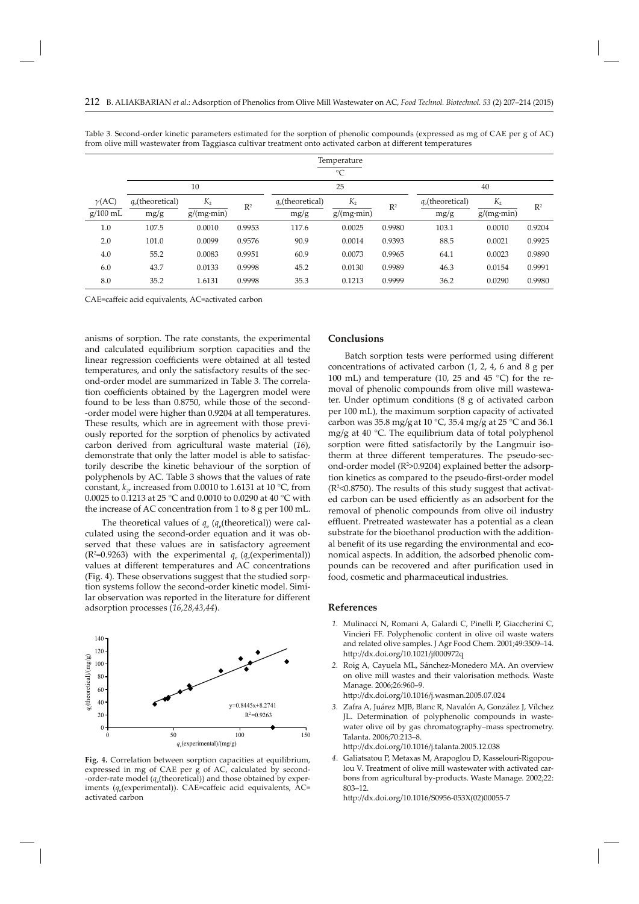|               | Temperature<br>$\rm ^{\circ}C$ |                    |                |                     |                    |                |                     |                    |                |  |  |
|---------------|--------------------------------|--------------------|----------------|---------------------|--------------------|----------------|---------------------|--------------------|----------------|--|--|
|               |                                | 10                 |                | 25                  |                    |                | 40                  |                    |                |  |  |
| $\gamma$ (AC) | $q_e$ (theoretical)            | $K_{2}$            | $\mathbb{R}^2$ | $q_e$ (theoretical) | $K_{2}$            | R <sup>2</sup> | $q_e$ (theoretical) | $K_{2}$            | $\mathbb{R}^2$ |  |  |
| $g/100$ mL    | mg/g                           | $g/(mg \cdot min)$ |                | mg/g                | $g/(mg \cdot min)$ |                | mg/g                | $g/(mg \cdot min)$ |                |  |  |
| 1.0           | 107.5                          | 0.0010             | 0.9953         | 117.6               | 0.0025             | 0.9980         | 103.1               | 0.0010             | 0.9204         |  |  |
| 2.0           | 101.0                          | 0.0099             | 0.9576         | 90.9                | 0.0014             | 0.9393         | 88.5                | 0.0021             | 0.9925         |  |  |
| 4.0           | 55.2                           | 0.0083             | 0.9951         | 60.9                | 0.0073             | 0.9965         | 64.1                | 0.0023             | 0.9890         |  |  |
| 6.0           | 43.7                           | 0.0133             | 0.9998         | 45.2                | 0.0130             | 0.9989         | 46.3                | 0.0154             | 0.9991         |  |  |
| 8.0           | 35.2                           | 1.6131             | 0.9998         | 35.3                | 0.1213             | 0.9999         | 36.2                | 0.0290             | 0.9980         |  |  |

Table 3. Second-order kinetic parameters estimated for the sorption of phenolic compounds (expressed as mg of CAE per g of AC) from olive mill wastewater from Taggiasca cultivar treatment onto activated carbon at different temperatures

CAE=caffeic acid equivalents, AC=activated carbon

anisms of sorption. The rate constants, the experimental and calculated equilibrium sorption capacities and the linear regression coefficients were obtained at all tested temperatures, and only the satisfactory results of the second-order model are summarized in Table 3. The correlation coefficients obtained by the Lagergren model were found to be less than 0.8750, while those of the second- -order model were higher than 0.9204 at all temperatures. These results, which are in agreement with those previously reported for the sorption of phenolics by activated carbon derived from agricultural waste material (*16*), demonstrate that only the latter model is able to satisfactorily describe the kinetic behaviour of the sorption of polyphenols by AC. Table 3 shows that the values of rate constant,  $k_2$ , increased from 0.0010 to 1.6131 at 10 °C, from 0.0025 to 0.1213 at 25 °C and 0.0010 to 0.0290 at 40 °C with the increase of AC concentration from 1 to 8 g per 100 mL.

The theoretical values of  $q_e$  ( $q_e$ (theoretical)) were calculated using the second-order equation and it was observed that these values are in satisfactory agreement ( $R^2$ =0.9263) with the experimental  $q_e$  ( $q_e$ (experimental)) values at different temperatures and AC concentrations (Fig. 4). These observations suggest that the studied sorption systems follow the second-order kinetic model. Similar observation was reported in the literature for different adsorption processes (*16,28,43,44*).



**Fig. 4.** Correlation between sorption capacities at equilibrium, expressed in mg of CAE per g of AC, calculated by second- -order-rate model ( $q_e$ (theoretical)) and those obtained by experiments ( $q_e$ (experimental)). CAE=caffeic acid equivalents, AC= activated carbon

# **Conclus ions**

Batch sorption tests were performed using different concentrations of activated carbon (1, 2, 4, 6 and 8 g per 100 mL) and temperature (10, 25 and 45  $^{\circ}$ C) for the removal of phenolic compounds from olive mill wastewater. Under optimum conditions (8 g of activated carbon per 100 mL), the maximum sorption capacity of activated carbon was 35.8 mg/g at 10 °C, 35.4 mg/g at 25 °C and 36.1 mg/g at 40 °C. The equilibrium data of total polyphenol sorption were fitted satisfactorily by the Langmuir isotherm at three different temperatures. The pseudo-second-order model (R<sup>2</sup>>0.9204) explained better the adsorption kinetics as compared to the pseudo-first-order model (R2 <0.8750). The results of this study suggest that activated carbon can be used efficiently as an adsorbent for the removal of phenolic compounds from olive oil industry effluent. Pretreated wastewater has a potential as a clean substrate for the bioethanol production with the additional benefit of its use regarding the environmental and economical aspects. In addition, the adsorbed phenolic compounds can be recovered and after purification used in food, cosmetic and pharmaceutical industries.

#### **References**

- *1.* Mulinacci N, Romani A, Galardi C, Pinelli P, Giaccherini C, Vincieri FF. Polyphenolic content in olive oil waste waters and related olive samples. J Agr Food Chem. 2001;49:3509–14. http://dx.doi.org/10.1021/jf000972q
- *2.* Roig A, Cayuela ML, Sánchez-Monedero MA. An overview on olive mill wastes and their valorisation methods. Waste Manage*.* 2006;26:960–9.

htt p://dx.doi.org/10.1016/j.wasman.2005.07.024

 *3.* Zafra A, Juárez MJB, Blanc R, Navalón A, González J, Vílchez JL. Determination of polyphenolic compounds in wastewater olive oil by gas chromatography–mass spectrometry. Talanta. 2006;70:213–8.

http://dx.doi.org/10.1016/j.talanta.2005.12.038

 *4*. Galiatsatou P, Metaxas M, Arapoglou D, Kasselouri-Rigopoulou V. Treatment of olive mill wastewater with activated carbons from agricultural by-products. Waste Manage*.* 2002;22: 803–12.

http://dx.doi.org/10.1016/S0956-053X(02)00055-7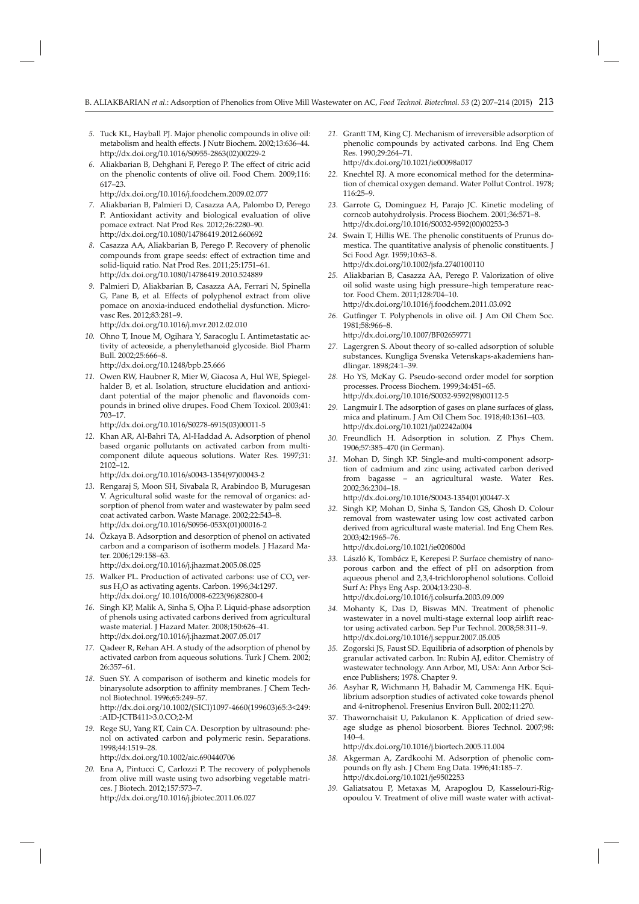- *5.* Tuck KL, Hayball PJ. Major phenolic compounds in olive oil: metabolism and health effects. J Nutr Biochem. 2002;13:636-44. http://dx.doi.org/10.1016/S0955-2863(02)00229-2
- 6. Aliakbarian B, Dehghani F, Perego P. The effect of citric acid on the phenolic contents of olive oil. Food Chem*.* 2009;116: 617–23.
	- http://dx.doi.org/10.1016/j.foodchem.2009.02.077
- *7.* Aliakbarian B, Palmieri D, Casazza AA, Palombo D, Perego P. Antioxidant activity and biological evaluation of olive pomace extract. Nat Prod Res*.* 2012;26:2280–90. http://dx.doi.org/10.1080/14786419.2012.660692
- *8.* Casazza AA, Aliakbarian B, Perego P. Recovery of phenolic compounds from grape seeds: effect of extraction time and solid-liquid ratio. Nat Prod Res. 2011;25:1751–61. http://dx.doi.org/10.1080/14786419.2010.524889
- *9.* Palmieri D, Aliakbarian B, Casazza AA, Ferrari N, Spinella G, Pane B, et al. Effects of polyphenol extract from olive pomace on anoxia-induced endothelial dysfunction. Microvasc Res. 2012;83:281–9.

http://dx.doi.org/10.1016/j.mvr.2012.02.010

- *10.* Ohno T, Inoue M, Ogihara Y, Saracoglu I. Antimetastatic activity of acteoside, a phenylethanoid glycoside. Biol Pharm Bull*.* 2002;25:666–8. http://dx.doi.org/10.1248/bpb.25.666
- *11.* Owen RW, Haubner R, Mier W, Giacosa A, Hul WE, Spiegelhalder B, et al. Isolation, structure elucidation and antioxidant potential of the major phenolic and flavonoids compounds in brined olive drupes. Food Chem Toxicol. 2003;41: 703–17.

http://dx.doi.org/10.1016/S0278-6915(03)00011-5

*12.* Khan AR, Al-Bahri TA, Al-Haddad A. Adsorption of phenol based organic pollutants on activated carbon from multicomponent dilute aqueous solutions. Water Res. 1997;31: 2102–12.

http://dx.doi.org/10.1016/s0043-1354(97)00043-2

- *13.* Rengaraj S, Moon SH, Sivabala R, Arabindoo B, Murugesan V. Agricultural solid waste for the removal of organics: adsorption of phenol from water and wastewater by palm seed coat activated carbon. Waste Manage*.* 2002;22:543–8. http://dx.doi.org/10.1016/S0956-053X(01)00016-2
- *14.* Özkaya B. Adsorption and desorption of phenol on activated carbon and a comparison of isotherm models. J Hazard Mater. 2006;129:158–63.

http://dx.doi.org/10.1016/j.jhazmat.2005.08.025

- 15. Walker PL. Production of activated carbons: use of CO<sub>2</sub> versus H<sub>2</sub>O as activating agents. Carbon. 1996;34:1297. http://dx.doi.org/ 10.1016/0008-6223(96)82800-4
- *16.* Singh KP, Malik A, Sinha S, Ojha P. Liquid-phase adsorption of phenols using activated carbons derived from agricultural waste material. J Hazard Mater. 2008;150:626–41. http://dx.doi.org/10.1016/j.jhazmat.2007.05.017
- *17.* Qadeer R, Rehan AH. A study of the adsorption of phenol by activated carbon from aqueous solutions. Turk J Chem. 2002; 26:357–61.
- *18*. Suen SY. A comparison of isotherm and kinetic models for binarysolute adsorption to affinity membranes. J Chem Technol Biotechnol. 1996;65:249–57. http://dx.doi.org/10.1002/(SICI)1097-4660(199603)65:3<249: :AID-JCTB411>3.0.CO;2-M
- *19.* Rege SU, Yang RT, Cain CA. Desorption by ultrasound: phenol on activated carbon and polymeric resin. Separations. 1998;44:1519–28. http://dx.doi.org/10.1002/aic.690440706
- *20.* Ena A, Pintucci C, Carlozzi P. The recovery of polyphenols from olive mill waste using two adsorbing vegetable matrices. J Biotech. 2012;157:573–7. http://dx.doi.org/10.1016/j.jbiotec.2011.06.027
- *21.* Grantt TM, King CJ. Mechanism of irreversible adsorption of phenolic compounds by activated carbons. Ind Eng Chem Res. 1990;29:264–71. http://dx.doi.org/10.1021/ie00098a017
- *22.* Knechtel RJ. A more economical method for the determination of chemical oxygen demand. Water Pollut Control. 1978; 116:25–9.
- 23. Garrote G, Dominguez H, Parajo JC. Kinetic modeling of corncob autohydrolysis. Process Biochem*.* 2001;36:571–8. http://dx.doi.org/10.1016/S0032-9592(00)00253-3
- 24. Swain T, Hillis WE. The phenolic constituents of Prunus domestica. The quantitative analysis of phenolic constituents. J Sci Food Agr. 1959;10:63–8. http://dx.doi.org/10.1002/jsfa.2740100110
- *25.* Aliakbarian B, Casazza AA, Perego P. Valorization of olive oil solid waste using high pressure–high temperature reactor. Food Chem. 2011;128:704–10. http://dx.doi.org/10.1016/j.foodchem.2011.03.092
- 26. Gutfinger T. Polyphenols in olive oil. J Am Oil Chem Soc. 1981;58:966–8.
- http://dx.doi.org/10.1007/BF02659771
- *27.* Lagergren S. About theory of so-called adsorption of soluble substances. Kungliga Svenska Vetenskaps-akademiens handlingar*.* 1898;24:1–39.
- *28.* Ho YS, McKay G. Pseudo-second order model for sorption processes. Process Biochem. 1999;34:451–65. http://dx.doi.org/10.1016/S0032-9592(98)00112-5
- *29.* Langmuir I. The adsorption of gases on plane surfaces of glass, mica and platinum. J Am Oil Chem Soc. 1918;40:1361–403. http://dx.doi.org/10.1021/ja02242a004
- *30.* Freundlich H. Adsorption in solution. Z Phys Chem. 1906;57:385–470 (in German).
- *31.* Mohan D, Singh KP. Single-and multi-component adsorption of cadmium and zinc using activated carbon derived from bagasse – an agricultural waste. Water Res. 2002;36:2304–18.

http://dx.doi.org/10.1016/S0043-1354(01)00447-X

- *32.* Singh KP, Mohan D, Sinha S, Tandon GS, Ghosh D. Colour removal from wastewater using low cost activated carbon derived from agricultural waste material. Ind Eng Chem Res. 2003;42:1965–76. http://dx.doi.org/10.1021/ie020800d
- *33.* László K, Tombácz E, Kerepesi P. Surface chemistry of nanoporous carbon and the effect of pH on adsorption from aqueous phenol and 2,3,4-trichlorophenol solutions. Colloid Surf A: Phys Eng Asp. 2004;13:230–8. http://dx.doi.org/10.1016/j.colsurfa.2003.09.009
- *34.* Mohanty K, Das D, Biswas MN. Treatment of phenolic wastewater in a novel multi-stage external loop airlift reactor using activated carbon. Sep Pur Technol. 2008;58:311–9. http://dx.doi.org/10.1016/j.seppur.2007.05.005
- *35.* Zogorski JS, Faust SD. Equilibria of adsorption of phenols by granular activated carbon. In: Rubin AJ, editor. Chemistry of wastewater technology. Ann Arbor, MI, USA: Ann Arbor Science Publishers; 1978. Chapter 9.
- *36.* Asyhar R, Wichmann H, Bahadir M, Cammenga HK. Equilibrium adsorption studies of activated coke towards phenol and 4-nitrophenol. Fresenius Environ Bull. 2002;11:270.
- 37. Thawornchaisit U, Pakulanon K. Application of dried sewage sludge as phenol biosorbent. Biores Technol. 2007;98: 140–4.

http://dx.doi.org/10.1016/j.biortech.2005.11.004

- *38.* Akgerman A, Zardkoohi M. Adsorption of phenolic compounds on fly ash. J Chem Eng Data. 1996;41:185-7. http://dx.doi.org/10.1021/je9502253
- *39.* Galiatsatou P, Metaxas M, Arapoglou D, Kasselouri-Rigopoulou V. Treatment of olive mill waste water with activat-